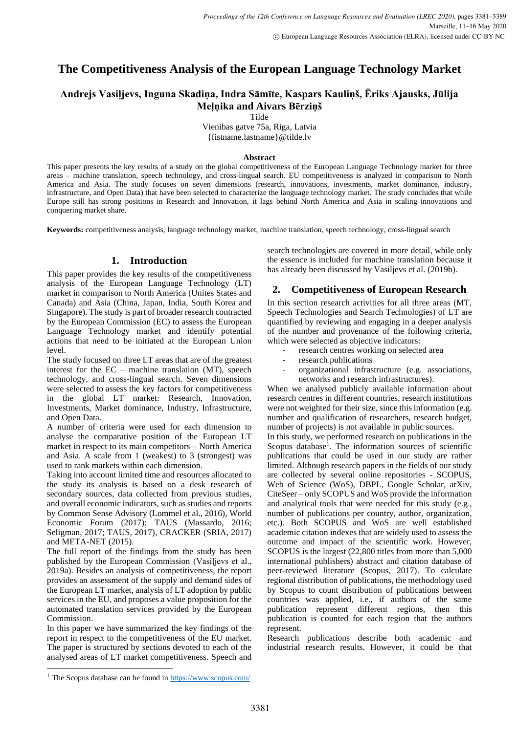# **The Competitiveness Analysis of the European Language Technology Market**

# **Andrejs Vasiļjevs, Inguna Skadiņa, Indra Sāmīte, Kaspars Kauliņš, Ēriks Ajausks, Jūlija Meļņika and Aivars Bērziņš**

Tilde

Vienibas gatve 75a, Riga, Latvia {fistname.lastname}@tilde.lv

# **Abstract**

This paper presents the key results of a study on the global competitiveness of the European Language Technology market for three areas – machine translation, speech technology, and cross-lingual search. EU competitiveness is analyzed in comparison to North America and Asia. The study focuses on seven dimensions (research, innovations, investments, market dominance, industry, infrastructure, and Open Data) that have been selected to characterize the language technology market. The study concludes that while Europe still has strong positions in Research and Innovation, it lags behind North America and Asia in scaling innovations and conquering market share.

**Keywords:** competitiveness analysis, language technology market, machine translation, speech technology, cross-lingual search

# **1. Introduction**

This paper provides the key results of the competitiveness analysis of the European Language Technology (LT) market in comparison to North America (Unites States and Canada) and Asia (China, Japan, India, South Korea and Singapore). The study is part of broader research contracted by the European Commission (EC) to assess the European Language Technology market and identify potential actions that need to be initiated at the European Union level.

The study focused on three LT areas that are of the greatest interest for the EC – machine translation (MT), speech technology, and cross-lingual search. Seven dimensions were selected to assess the key factors for competitiveness in the global LT market: Research, Innovation, Investments, Market dominance, Industry, Infrastructure, and Open Data.

A number of criteria were used for each dimension to analyse the comparative position of the European LT market in respect to its main competitors – North America and Asia. A scale from 1 (weakest) to 3 (strongest) was used to rank markets within each dimension.

Taking into account limited time and resources allocated to the study its analysis is based on a desk research of secondary sources, data collected from previous studies, and overall economic indicators, such as studies and reports by Common Sense Advisory (Lommel et al., 2016), World Economic Forum (2017); TAUS (Massardo, 2016; Seligman, 2017; TAUS, 2017), CRACKER (SRIA, 2017) and META-NET (2015).

The full report of the findings from the study has been published by the European Commission (Vasiļjevs et al., 2019a). Besides an analysis of competitiveness, the report provides an assessment of the supply and demand sides of the European LT market, analysis of LT adoption by public services in the EU, and proposes a value proposition for the automated translation services provided by the European Commission.

In this paper we have summarized the key findings of the report in respect to the competitiveness of the EU market. The paper is structured by sections devoted to each of the analysed areas of LT market competitiveness. Speech and search technologies are covered in more detail, while only the essence is included for machine translation because it has already been discussed by Vasiljevs et al. (2019b).

# **2. Competitiveness of European Research**

In this section research activities for all three areas (MT, Speech Technologies and Search Technologies) of LT are quantified by reviewing and engaging in a deeper analysis of the number and provenance of the following criteria, which were selected as objective indicators:

- research centres working on selected area
- research publications
- organizational infrastructure (e.g. associations, networks and research infrastructures).

When we analysed publicly available information about research centres in different countries, research institutions were not weighted for their size, since this information (e.g. number and qualification of researchers, research budget, number of projects) is not available in public sources.

In this study, we performed research on publications in the Scopus database<sup>1</sup>. The information sources of scientific publications that could be used in our study are rather limited. Although research papers in the fields of our study are collected by several online repositories - SCOPUS, Web of Science (WoS), DBPL, Google Scholar, arXiv, CiteSeer – only SCOPUS and WoS provide the information and analytical tools that were needed for this study (e.g., number of publications per country, author, organization, etc.). Both SCOPUS and WoS are well established academic citation indexes that are widely used to assess the outcome and impact of the scientific work. However, SCOPUS is the largest (22,800 titles from more than 5,000 international publishers) abstract and citation database of peer-reviewed literature (Scopus, 2017). To calculate regional distribution of publications, the methodology used by Scopus to count distribution of publications between countries was applied, i.e., if authors of the same publication represent different regions, then this publication is counted for each region that the authors represent.

Research publications describe both academic and industrial research results. However, it could be that

<sup>&</sup>lt;sup>1</sup> The Scopus database can be found in  $\frac{https://www.scopy.s.com/}{https://www.scopy.s.com/}$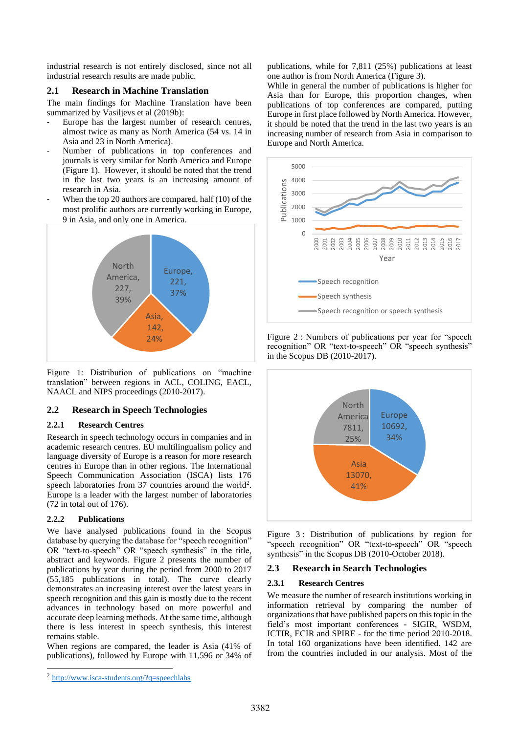industrial research is not entirely disclosed, since not all industrial research results are made public.

# **2.1 Research in Machine Translation**

The main findings for Machine Translation have been summarized by Vasiljevs et al (2019b):

- Europe has the largest number of research centres, almost twice as many as North America (54 vs. 14 in Asia and 23 in North America).
- Number of publications in top conferences and journals is very similar for North America and Europe [\(Figure 1\)](#page-1-0). However, it should be noted that the trend in the last two years is an increasing amount of research in Asia.
- When the top 20 authors are compared, half (10) of the most prolific authors are currently working in Europe, 9 in Asia, and only one in America.



<span id="page-1-0"></span>Figure 1: Distribution of publications on "machine translation" between regions in ACL, COLING, EACL, NAACL and NIPS proceedings (2010-2017).

# **2.2 Research in Speech Technologies**

# **2.2.1 Research Centres**

Research in speech technology occurs in companies and in academic research centres. EU multilingualism policy and language diversity of Europe is a reason for more research centres in Europe than in other regions. The International Speech Communication Association (ISCA) lists 176 speech laboratories from 37 countries around the world<sup>2</sup>. Europe is a leader with the largest number of laboratories (72 in total out of 176).

# **2.2.2 Publications**

We have analysed publications found in the Scopus database by querying the database for "speech recognition" OR "text-to-speech" OR "speech synthesis" in the title, abstract and keywords. [Figure 2](#page-1-1) presents the number of publications by year during the period from 2000 to 2017 (55,185 publications in total). The curve clearly demonstrates an increasing interest over the latest years in speech recognition and this gain is mostly due to the recent advances in technology based on more powerful and accurate deep learning methods. At the same time, although there is less interest in speech synthesis, this interest remains stable.

When regions are compared, the leader is Asia (41% of publications), followed by Europe with 11,596 or 34% of publications, while for 7,811 (25%) publications at least one author is from North America [\(Figure 3\)](#page-1-2).

While in general the number of publications is higher for Asia than for Europe, this proportion changes, when publications of top conferences are compared, putting Europe in first place followed by North America. However, it should be noted that the trend in the last two years is an increasing number of research from Asia in comparison to Europe and North America.



<span id="page-1-1"></span>Figure 2 : Numbers of publications per year for "speech recognition" OR "text-to-speech" OR "speech synthesis" in the Scopus DB (2010-2017).



<span id="page-1-2"></span>Figure 3: Distribution of publications by region for "speech recognition" OR "text-to-speech" OR "speech synthesis" in the Scopus DB (2010-October 2018).

# **2.3 Research in Search Technologies**

#### **2.3.1 Research Centres**

We measure the number of research institutions working in information retrieval by comparing the number of organizations that have published papers on this topic in the field's most important conferences - SIGIR, WSDM, ICTIR, ECIR and SPIRE - for the time period 2010-2018. In total 160 organizations have been identified. 142 are from the countries included in our analysis. Most of the

<sup>&</sup>lt;sup>2</sup> <http://www.isca-students.org/?q=speechlabs>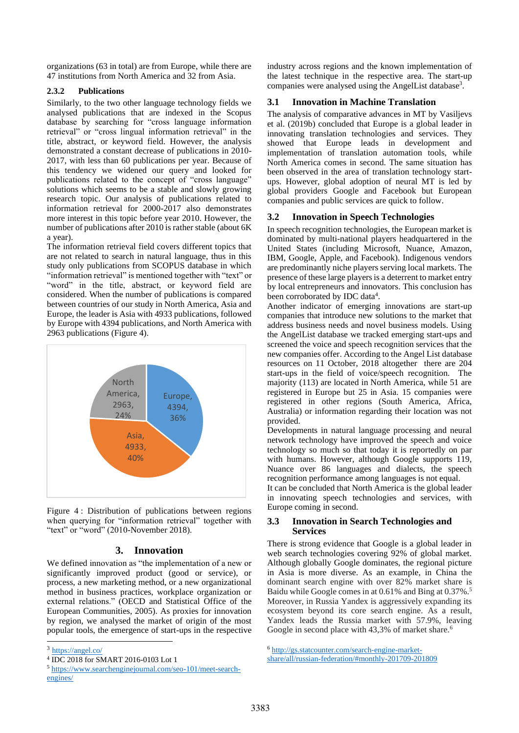organizations (63 in total) are from Europe, while there are 47 institutions from North America and 32 from Asia.

# **2.3.2 Publications**

Similarly, to the two other language technology fields we analysed publications that are indexed in the Scopus database by searching for "cross language information retrieval" or "cross lingual information retrieval" in the title, abstract, or keyword field. However, the analysis demonstrated a constant decrease of publications in 2010- 2017, with less than 60 publications per year. Because of this tendency we widened our query and looked for publications related to the concept of "cross language" solutions which seems to be a stable and slowly growing research topic. Our analysis of publications related to information retrieval for 2000-2017 also demonstrates more interest in this topic before year 2010. However, the number of publications after 2010 is rather stable (about 6K a year).

The information retrieval field covers different topics that are not related to search in natural language, thus in this study only publications from SCOPUS database in which "information retrieval" is mentioned together with "text" or "word" in the title, abstract, or keyword field are considered. When the number of publications is compared between countries of our study in North America, Asia and Europe, the leader is Asia with 4933 publications, followed by Europe with 4394 publications, and North America with 2963 publications [\(Figure 4\)](#page-2-0).



<span id="page-2-0"></span>Figure 4 : Distribution of publications between regions when querying for "information retrieval" together with "text" or "word" (2010-November 2018).

# **3. Innovation**

We defined innovation as "the implementation of a new or significantly improved product (good or service), or process, a new marketing method, or a new organizational method in business practices, workplace organization or external relations." (OECD and Statistical Office of the European Communities, 2005). As proxies for innovation by region, we analysed the market of origin of the most popular tools, the emergence of start-ups in the respective industry across regions and the known implementation of the latest technique in the respective area. The start-up companies were analysed using the AngelList database<sup>3</sup>.

# **3.1 Innovation in Machine Translation**

The analysis of comparative advances in MT by Vasiljevs et al. (2019b) concluded that Europe is a global leader in innovating translation technologies and services. They showed that Europe leads in development and implementation of translation automation tools, while North America comes in second. The same situation has been observed in the area of translation technology startups. However, global adoption of neural MT is led by global providers Google and Facebook but European companies and public services are quick to follow.

# **3.2 Innovation in Speech Technologies**

In speech recognition technologies, the European market is dominated by multi-national players headquartered in the United States (including Microsoft, Nuance, Amazon, IBM, Google, Apple, and Facebook). Indigenous vendors are predominantly niche players serving local markets. The presence of these large players is a deterrent to market entry by local entrepreneurs and innovators. This conclusion has been corroborated by IDC data<sup>4</sup>.

Another indicator of emerging innovations are start-up companies that introduce new solutions to the market that address business needs and novel business models. Using the AngelList database we tracked emerging start-ups and screened the voice and speech recognition services that the new companies offer. According to the Angel List database resources on 11 October, 2018 altogether there are 204 start-ups in the field of voice/speech recognition. The majority (113) are located in North America, while 51 are registered in Europe but 25 in Asia. 15 companies were registered in other regions (South America, Africa, Australia) or information regarding their location was not provided.

Developments in natural language processing and neural network technology have improved the speech and voice technology so much so that today it is reportedly on par with humans. However, although Google supports 119, Nuance over 86 languages and dialects, the speech recognition performance among languages is not equal.

It can be concluded that North America is the global leader in innovating speech technologies and services, with Europe coming in second.

# **3.3 Innovation in Search Technologies and Services**

There is strong evidence that Google is a global leader in web search technologies covering 92% of global market. Although globally Google dominates, the regional picture in Asia is more diverse. As an example, in China the dominant search engine with over 82% market share is Baidu while Google comes in at 0.61% and Bing at 0.37%. 5 Moreover, in Russia Yandex is aggressively expanding its ecosystem beyond its core search engine. As a result, Yandex leads the Russia market with 57.9%, leaving Google in second place with 43,3% of market share.<sup>6</sup>

<sup>&</sup>lt;sup>3</sup> <https://angel.co/>

<sup>4</sup> IDC 2018 for SMART 2016-0103 Lot 1

<sup>5</sup> [https://www.searchenginejournal.com/seo-101/meet-search](https://www.searchenginejournal.com/seo-101/meet-search-engines/)[engines/](https://www.searchenginejournal.com/seo-101/meet-search-engines/)

<sup>6</sup> [http://gs.statcounter.com/search-engine-market-](http://gs.statcounter.com/search-engine-market-share/all/russian-federation/#monthly-201709-201809)

[share/all/russian-federation/#monthly-201709-201809](http://gs.statcounter.com/search-engine-market-share/all/russian-federation/#monthly-201709-201809)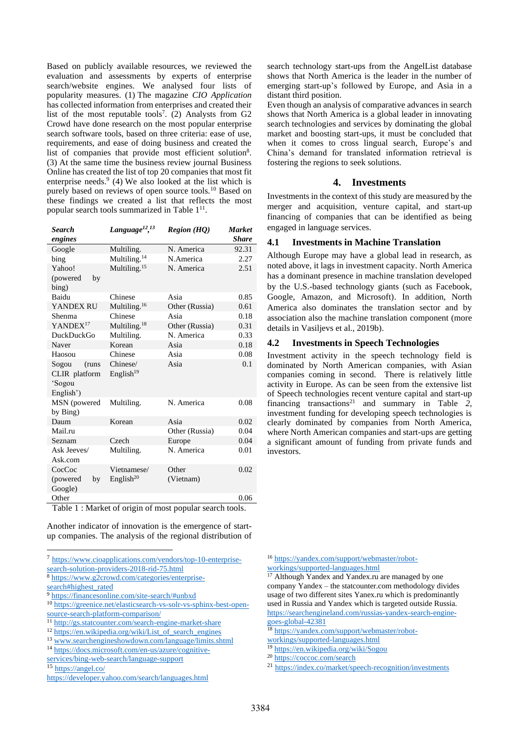Based on publicly available resources, we reviewed the evaluation and assessments by experts of enterprise search/website engines. We analysed four lists of popularity measures. (1) The magazine *CIO Application* has collected information from enterprises and created their list of the most reputable tools<sup>7</sup>. (2) Analysts from  $G2$ Crowd have done research on the most popular enterprise search software tools, based on three criteria: ease of use, requirements, and ease of doing business and created the list of companies that provide most efficient solution8. (3) At the same time the business review journal Business Online has created the list of top 20 companies that most fit enterprise needs. $9$  (4) We also looked at the list which is purely based on reviews of open source tools.<sup>10</sup> Based on these findings we created a list that reflects the most popular search tools summarized in [Table 1](#page-3-0)<sup>11</sup>.

| <b>Search</b>        | Language <sup>12</sup> , <sup>13</sup>        | <b>Region (HQ)</b> | <b>Market</b> |
|----------------------|-----------------------------------------------|--------------------|---------------|
| engines              |                                               |                    | <b>Share</b>  |
| Google               | Multiling.                                    | N. America         | 92.31         |
| bing                 | Multiling. <sup>14</sup>                      | N.America          | 2.27          |
| Yahoo!               | Multiling. <sup>15</sup>                      | N. America         | 2.51          |
| (powered<br>by       |                                               |                    |               |
| bing)                |                                               |                    |               |
| Baidu                | Chinese                                       | Asia               | 0.85          |
| YANDEX RU            | Multiling. <sup>16</sup>                      | Other (Russia)     | 0.61          |
| Shenma               | Chinese                                       | Asia               | 0.18          |
| YANDEX <sup>17</sup> | Multiling. $18$                               | Other (Russia)     | 0.31          |
| DuckDuckGo           | Multiling.                                    | N. America         | 0.33          |
| Naver                | Korean                                        | Asia               | 0.18          |
| Haosou               | Chinese                                       | Asia               | 0.08          |
| Sogou<br>(runs       | Chinese/                                      | Asia               | 0.1           |
| CLIR platform        | English <sup>19</sup>                         |                    |               |
| 'Sogou               |                                               |                    |               |
| English')            |                                               |                    |               |
| MSN (powered         | Multiling.                                    | N. America         | 0.08          |
| by Bing)             |                                               |                    |               |
| Daum                 | Korean                                        | Asia               | 0.02          |
| Mail.ru              |                                               | Other (Russia)     | 0.04          |
| Seznam               | Czech                                         | Europe             | 0.04          |
| Ask Jeeves/          | Multiling.                                    | N. America         | 0.01          |
| Ask.com              |                                               |                    |               |
| CocCoc               | Vietnamese/                                   | Other              | 0.02          |
| (powered)<br>by      | English <sup>20</sup>                         | (Vietnam)          |               |
| Google)              |                                               |                    |               |
| Other                |                                               |                    | 0.06          |
| $T = 11 + 121 + 1$   | $\overline{r}$ $\overline{r}$<br>$\mathbf{r}$ | $\mathbf{1}$       | $1 -$<br>1.   |

<span id="page-3-0"></span>Table 1 : Market of origin of most popular search tools.

Another indicator of innovation is the emergence of startup companies. The analysis of the regional distribution of

7 [https://www.cioapplications.com/vendors/top-10-enterprise](https://www.cioapplications.com/vendors/top-10-enterprise-search-solution-providers-2018-rid-75.html)[search-solution-providers-2018-rid-75.html](https://www.cioapplications.com/vendors/top-10-enterprise-search-solution-providers-2018-rid-75.html)

<sup>9</sup> <https://financesonline.com/site-search/#unbxd>

<sup>10</sup> [https://greenice.net/elasticsearch-vs-solr-vs-sphinx-best-open](https://greenice.net/elasticsearch-vs-solr-vs-sphinx-best-open-source-search-platform-comparison/)[source-search-platform-comparison/](https://greenice.net/elasticsearch-vs-solr-vs-sphinx-best-open-source-search-platform-comparison/)

- <sup>11</sup> <http://gs.statcounter.com/search-engine-market-share>
- <sup>12</sup> [https://en.wikipedia.org/wiki/List\\_of\\_search\\_engines](https://en.wikipedia.org/wiki/List_of_search_engines)

<sup>13</sup> [www.searchengineshowdown.com/language/limits.shtml](http://www.searchengineshowdown.com/language/limits.shtml)

search technology start-ups from the AngelList database shows that North America is the leader in the number of emerging start-up's followed by Europe, and Asia in a distant third position.

Even though an analysis of comparative advances in search shows that North America is a global leader in innovating search technologies and services by dominating the global market and boosting start-ups, it must be concluded that when it comes to cross lingual search, Europe's and China's demand for translated information retrieval is fostering the regions to seek solutions.

# **4. Investments**

Investments in the context of this study are measured by the merger and acquisition, venture capital, and start-up financing of companies that can be identified as being engaged in language services.

#### **4.1 Investments in Machine Translation**

Although Europe may have a global lead in research, as noted above, it lags in investment capacity. North America has a dominant presence in machine translation developed by the U.S.-based technology giants (such as Facebook, Google, Amazon, and Microsoft). In addition, North America also dominates the translation sector and by association also the machine translation component (more details in Vasiljevs et al., 2019b).

#### **4.2 Investments in Speech Technologies**

Investment activity in the speech technology field is dominated by North American companies, with Asian companies coming in second. There is relatively little activity in Europe. As can be seen from the extensive list of Speech technologies recent venture capital and start-up financing transactions<sup>21</sup> and summary in [Table](#page-4-0)  $2$ , investment funding for developing speech technologies is clearly dominated by companies from North America, where North American companies and start-ups are getting a significant amount of funding from private funds and investors.

<sup>16</sup> [https://yandex.com/support/webmaster/robot](https://yandex.com/support/webmaster/robot-workings/supported-languages.html)[workings/supported-languages.html](https://yandex.com/support/webmaster/robot-workings/supported-languages.html)

<sup>17</sup> Although Yandex and Yandex.ru are managed by one company Yandex – the statcounter.com methodology divides usage of two different sites Yanex.ru which is predominantly used in Russia and Yandex which is targeted outside Russia. [https://searchengineland.com/russias-yandex-search-engine](https://searchengineland.com/russias-yandex-search-engine-goes-global-42381)[goes-global-42381](https://searchengineland.com/russias-yandex-search-engine-goes-global-42381)

<sup>18</sup> [https://yandex.com/support/webmaster/robot-](https://yandex.com/support/webmaster/robot-workings/supported-languages.html)

- <sup>19</sup> <https://en.wikipedia.org/wiki/Sogou>
- <sup>20</sup> <https://coccoc.com/search>

<sup>8</sup> [https://www.g2crowd.com/categories/enterprise-](https://www.g2crowd.com/categories/enterprise-search#highest_rated)

[search#highest\\_rated](https://www.g2crowd.com/categories/enterprise-search#highest_rated)

<sup>14</sup> [https://docs.microsoft.com/en-us/azure/cognitive-](https://docs.microsoft.com/en-us/azure/cognitive-services/bing-web-search/language-support)

[services/bing-web-search/language-support](https://docs.microsoft.com/en-us/azure/cognitive-services/bing-web-search/language-support)

<sup>15</sup> <https://angel.co/>

<https://developer.yahoo.com/search/languages.html>

[workings/supported-languages.html](https://yandex.com/support/webmaster/robot-workings/supported-languages.html)

<sup>21</sup> <https://index.co/market/speech-recognition/investments>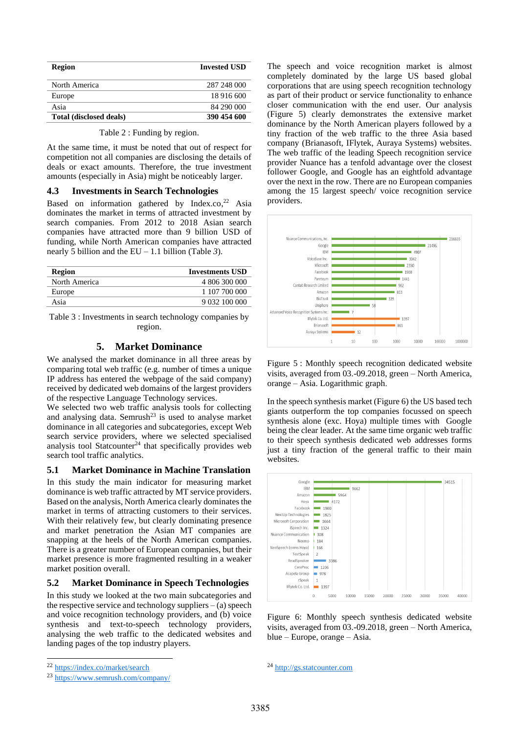| <b>Region</b>           | <b>Invested USD</b> |
|-------------------------|---------------------|
| North America           | 287 248 000         |
| Europe                  | 18 916 600          |
| Asia                    | 84 290 000          |
| Total (disclosed deals) | 390 454 600         |

Table 2 : Funding by region.

<span id="page-4-0"></span>At the same time, it must be noted that out of respect for competition not all companies are disclosing the details of deals or exact amounts. Therefore, the true investment amounts (especially in Asia) might be noticeably larger.

#### **4.3 Investments in Search Technologies**

Based on information gathered by Index.co, <sup>22</sup> Asia dominates the market in terms of attracted investment by search companies. From 2012 to 2018 Asian search companies have attracted more than 9 billion USD of funding, while North American companies have attracted nearly 5 billion and the EU – 1.1 billion [\(Table](#page-4-1) *3*).

| Region        | <b>Investments USD</b> |
|---------------|------------------------|
| North America | 4 806 300 000          |
| Europe        | 1 107 700 000          |
| Asia          | 9 032 100 000          |

<span id="page-4-1"></span>Table 3 : Investments in search technology companies by region.

### **5. Market Dominance**

We analysed the market dominance in all three areas by comparing total web traffic (e.g. number of times a unique IP address has entered the webpage of the said company) received by dedicated web domains of the largest providers of the respective Language Technology services.

We selected two web traffic analysis tools for collecting and analysing data. Semrush<sup>23</sup> is used to analyse market dominance in all categories and subcategories, except Web search service providers, where we selected specialised analysis tool Statcounter<sup>24</sup> that specifically provides web search tool traffic analytics.

#### **5.1 Market Dominance in Machine Translation**

In this study the main indicator for measuring market dominance is web traffic attracted by MT service providers. Based on the analysis, North America clearly dominates the market in terms of attracting customers to their services. With their relatively few, but clearly dominating presence and market penetration the Asian MT companies are snapping at the heels of the North American companies. There is a greater number of European companies, but their market presence is more fragmented resulting in a weaker market position overall.

#### **5.2 Market Dominance in Speech Technologies**

In this study we looked at the two main subcategories and the respective service and technology suppliers  $-$  (a) speech and voice recognition technology providers, and (b) voice synthesis and text-to-speech technology providers, analysing the web traffic to the dedicated websites and landing pages of the top industry players.

The speech and voice recognition market is almost completely dominated by the large US based global corporations that are using speech recognition technology as part of their product or service functionality to enhance closer communication with the end user. Our analysis [\(Figure 5\)](#page-4-2) clearly demonstrates the extensive market dominance by the North American players followed by a tiny fraction of the web traffic to the three Asia based company (Brianasoft, IFlytek, Auraya Systems) websites. The web traffic of the leading Speech recognition service provider Nuance has a tenfold advantage over the closest follower Google, and Google has an eightfold advantage over the next in the row. There are no European companies among the 15 largest speech/ voice recognition service providers.



<span id="page-4-2"></span>Figure 5 : Monthly speech recognition dedicated website visits, averaged from 03.-09.2018, green – North America, orange – Asia. Logarithmic graph.

In the speech synthesis market [\(Figure 6\)](#page-4-3) the US based tech giants outperform the top companies focussed on speech synthesis alone (exc. Hoya) multiple times with Google being the clear leader. At the same time organic web traffic to their speech synthesis dedicated web addresses forms just a tiny fraction of the general traffic to their main websites.



<span id="page-4-3"></span>Figure 6: Monthly speech synthesis dedicated website visits, averaged from 03.-09.2018, green – North America, blue – Europe, orange – Asia.

<sup>22</sup> <https://index.co/market/search>

<sup>23</sup> <https://www.semrush.com/company/>

<sup>24</sup> [http://gs.statcounter.com](http://gs.statcounter.com/)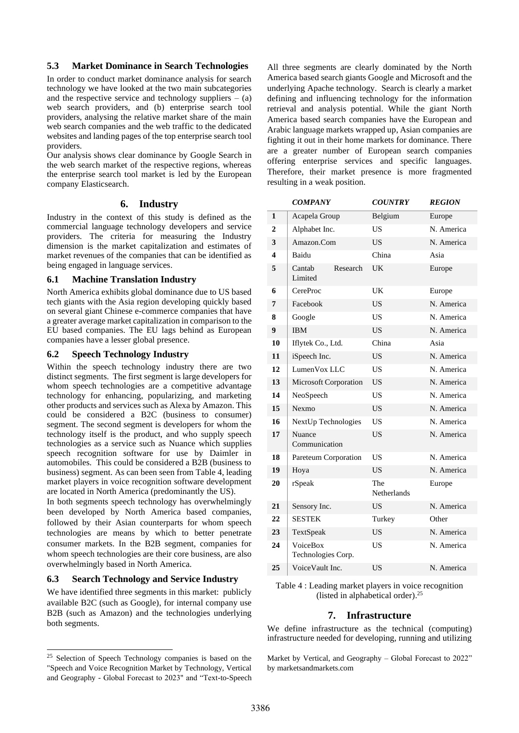# **5.3 Market Dominance in Search Technologies**

In order to conduct market dominance analysis for search technology we have looked at the two main subcategories and the respective service and technology suppliers  $-$  (a) web search providers, and (b) enterprise search tool providers, analysing the relative market share of the main web search companies and the web traffic to the dedicated websites and landing pages of the top enterprise search tool providers.

Our analysis shows clear dominance by Google Search in the web search market of the respective regions, whereas the enterprise search tool market is led by the European company Elasticsearch.

# **6. Industry**

Industry in the context of this study is defined as the commercial language technology developers and service providers. The criteria for measuring the Industry dimension is the market capitalization and estimates of market revenues of the companies that can be identified as being engaged in language services.

# **6.1 Machine Translation Industry**

North America exhibits global dominance due to US based tech giants with the Asia region developing quickly based on several giant Chinese e-commerce companies that have a greater average market capitalization in comparison to the EU based companies. The EU lags behind as European companies have a lesser global presence.

# **6.2 Speech Technology Industry**

Within the speech technology industry there are two distinct segments. The first segment is large developers for whom speech technologies are a competitive advantage technology for enhancing, popularizing, and marketing other products and services such as Alexa by Amazon. This could be considered a B2C (business to consumer) segment. The second segment is developers for whom the technology itself is the product, and who supply speech technologies as a service such as Nuance which supplies speech recognition software for use by Daimler in automobiles. This could be considered a B2B (business to business) segment. As can been seen from [Table 4,](#page-5-0) leading market players in voice recognition software development are located in North America (predominantly the US).

In both segments speech technology has overwhelmingly been developed by North America based companies, followed by their Asian counterparts for whom speech technologies are means by which to better penetrate consumer markets. In the B2B segment, companies for whom speech technologies are their core business, are also overwhelmingly based in North America.

# **6.3 Search Technology and Service Industry**

We have identified three segments in this market: publicly available B2C (such as Google), for internal company use B2B (such as Amazon) and the technologies underlying both segments.

All three segments are clearly dominated by the North America based search giants Google and Microsoft and the underlying Apache technology. Search is clearly a market defining and influencing technology for the information retrieval and analysis potential. While the giant North America based search companies have the European and Arabic language markets wrapped up, Asian companies are fighting it out in their home markets for dominance. There are a greater number of European search companies offering enterprise services and specific languages. Therefore, their market presence is more fragmented resulting in a weak position.

|                         | <b>COMPANY</b>                 | <i><b>COUNTRY</b></i> | <b>REGION</b> |
|-------------------------|--------------------------------|-----------------------|---------------|
| 1                       | Acapela Group                  | Belgium               | Europe        |
| $\overline{2}$          | Alphabet Inc.                  | US                    | N. America    |
| 3                       | Amazon.Com                     | US                    | N. America    |
| $\overline{\mathbf{4}}$ | Baidu                          | China                 | Asia          |
| 5                       | Cantab<br>Research<br>Limited  | UK                    | Europe        |
| 6                       | CereProc                       | UK                    | Europe        |
| 7                       | Facebook                       | <b>US</b>             | N. America    |
| 8                       | Google                         | <b>US</b>             | N. America    |
| 9                       | <b>IBM</b>                     | <b>US</b>             | N. America    |
| 10                      | Iflytek Co., Ltd.              | China                 | Asia          |
| 11                      | iSpeech Inc.                   | <b>US</b>             | N. America    |
| 12                      | LumenVox LLC                   | <b>US</b>             | N. America    |
| 13                      | Microsoft Corporation          | <b>US</b>             | N. America    |
| 14                      | NeoSpeech                      | <b>US</b>             | N. America    |
| 15                      | Nexmo                          | <b>US</b>             | N. America    |
| 16                      | NextUp Technologies            | <b>US</b>             | N. America    |
| 17                      | Nuance<br>Communication        | <b>US</b>             | N. America    |
| 18                      | Pareteum Corporation           | US                    | N. America    |
| 19                      | Hoya                           | <b>US</b>             | N. America    |
| 20                      | rSpeak                         | The<br>Netherlands    | Europe        |
| 21                      | Sensory Inc.                   | <b>US</b>             | N. America    |
| 22                      | <b>SESTEK</b>                  | Turkey                | Other         |
| 23                      | TextSpeak                      | <b>US</b>             | N. America    |
| 24                      | VoiceBox<br>Technologies Corp. | <b>US</b>             | N. America    |
| 25                      | VoiceVault Inc.                | <b>US</b>             | N. America    |

<span id="page-5-0"></span>Table 4 : Leading market players in voice recognition (listed in alphabetical order). 25

# **7. Infrastructure**

We define infrastructure as the technical (computing) infrastructure needed for developing, running and utilizing

Market by Vertical, and Geography – Global Forecast to 2022" by marketsandmarkets.com

<sup>&</sup>lt;sup>25</sup> Selection of Speech Technology companies is based on the "Speech and Voice Recognition Market by Technology, Vertical and Geography - Global Forecast to 2023" and "Text-to-Speech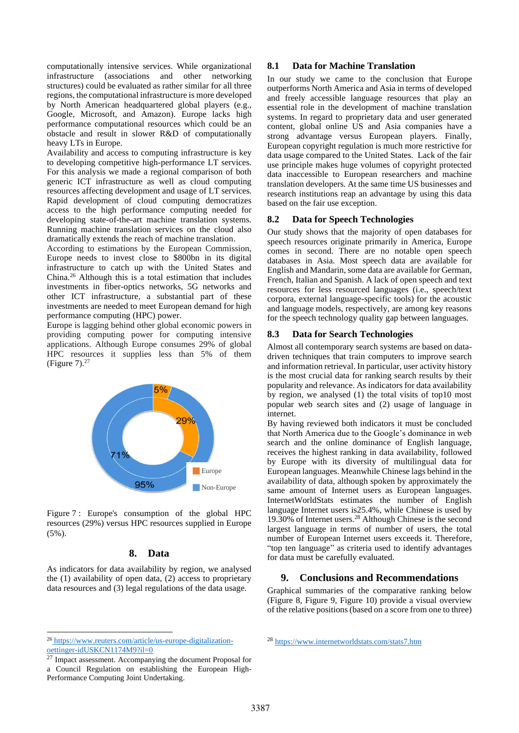computationally intensive services. While organizational infrastructure (associations and other networking structures) could be evaluated as rather similar for all three regions, the computational infrastructure is more developed by North American headquartered global players (e.g., Google, Microsoft, and Amazon). Europe lacks high performance computational resources which could be an obstacle and result in slower R&D of computationally heavy LTs in Europe.

Availability and access to computing infrastructure is key to developing competitive high-performance LT services. For this analysis we made a regional comparison of both generic ICT infrastructure as well as cloud computing resources affecting development and usage of LT services. Rapid development of cloud computing democratizes access to the high performance computing needed for developing state-of-the-art machine translation systems. Running machine translation services on the cloud also dramatically extends the reach of machine translation.

According to estimations by the European Commission, Europe needs to invest close to \$800bn in its digital infrastructure to catch up with the United States and China.<sup>26</sup> Although this is a total estimation that includes investments in fiber-optics networks, 5G networks and other ICT infrastructure, a substantial part of these investments are needed to meet European demand for high performance computing (HPC) power.

Europe is lagging behind other global economic powers in providing computing power for computing intensive applications. Although Europe consumes 29% of global HPC resources it supplies less than 5% of them [\(Figure](#page-6-0) 7). $27$ 



<span id="page-6-0"></span>Figure 7: Europe's consumption of the global HPC resources (29%) versus HPC resources supplied in Europe (5%).

# **8. Data**

As indicators for data availability by region, we analysed the (1) availability of open data, (2) access to proprietary data resources and (3) legal regulations of the data usage.

<sup>27</sup> Impact assessment. Accompanying the document Proposal for a Council Regulation on establishing the European High-Performance Computing Joint Undertaking.

# **8.1 Data for Machine Translation**

In our study we came to the conclusion that Europe outperforms North America and Asia in terms of developed and freely accessible language resources that play an essential role in the development of machine translation systems. In regard to proprietary data and user generated content, global online US and Asia companies have a strong advantage versus European players. Finally, European copyright regulation is much more restrictive for data usage compared to the United States. Lack of the fair use principle makes huge volumes of copyright protected data inaccessible to European researchers and machine translation developers. At the same time US businesses and research institutions reap an advantage by using this data based on the fair use exception.

# **8.2 Data for Speech Technologies**

Our study shows that the majority of open databases for speech resources originate primarily in America, Europe comes in second. There are no notable open speech databases in Asia. Most speech data are available for English and Mandarin, some data are available for German, French, Italian and Spanish. A lack of open speech and text resources for less resourced languages (i.e., speech/text corpora, external language-specific tools) for the acoustic and language models, respectively, are among key reasons for the speech technology quality gap between languages.

# **8.3 Data for Search Technologies**

Almost all contemporary search systems are based on datadriven techniques that train computers to improve search and information retrieval. In particular, user activity history is the most crucial data for ranking search results by their popularity and relevance. As indicators for data availability by region, we analysed (1) the total visits of top10 most popular web search sites and (2) usage of language in internet.

By having reviewed both indicators it must be concluded that North America due to the Google's dominance in web search and the online dominance of English language, receives the highest ranking in data availability, followed by Europe with its diversity of multilingual data for European languages. Meanwhile Chinese lags behind in the availability of data, although spoken by approximately the same amount of Internet users as European languages. InternetWorldStats estimates the number of English language Internet users is25.4%, while Chinese is used by 19.30% of Internet users.<sup>28</sup> Although Chinese is the second largest language in terms of number of users, the total number of European Internet users exceeds it. Therefore, "top ten language" as criteria used to identify advantages for data must be carefully evaluated.

# **9. Conclusions and Recommendations**

Graphical summaries of the comparative ranking below [\(Figure 8,](#page-7-0) [Figure 9,](#page-7-1) [Figure 10\)](#page-7-2) provide a visual overview of the relative positions (based on a score from one to three)

<sup>26</sup> https://www.reuters.com/article/us-europe-digitalizationoettinger-idUSKCN1174M9?il=0

<sup>28</sup> <https://www.internetworldstats.com/stats7.htm>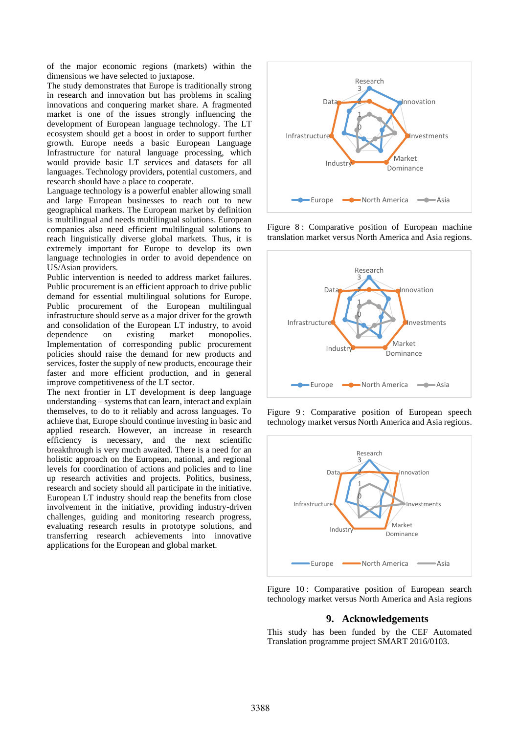of the major economic regions (markets) within the dimensions we have selected to juxtapose.

The study demonstrates that Europe is traditionally strong in research and innovation but has problems in scaling innovations and conquering market share. A fragmented market is one of the issues strongly influencing the development of European language technology. The LT ecosystem should get a boost in order to support further growth. Europe needs a basic European Language Infrastructure for natural language processing, which would provide basic LT services and datasets for all languages. Technology providers, potential customers, and research should have a place to cooperate.

Language technology is a powerful enabler allowing small and large European businesses to reach out to new geographical markets. The European market by definition is multilingual and needs multilingual solutions. European companies also need efficient multilingual solutions to reach linguistically diverse global markets. Thus, it is extremely important for Europe to develop its own language technologies in order to avoid dependence on US/Asian providers.

Public intervention is needed to address market failures. Public procurement is an efficient approach to drive public demand for essential multilingual solutions for Europe. Public procurement of the European multilingual infrastructure should serve as a major driver for the growth and consolidation of the European LT industry, to avoid dependence on existing market monopolies. Implementation of corresponding public procurement policies should raise the demand for new products and services, foster the supply of new products, encourage their faster and more efficient production, and in general improve competitiveness of the LT sector.

The next frontier in LT development is deep language understanding – systems that can learn, interact and explain themselves, to do to it reliably and across languages. To achieve that, Europe should continue investing in basic and applied research. However, an increase in research efficiency is necessary, and the next scientific breakthrough is very much awaited. There is a need for an holistic approach on the European, national, and regional levels for coordination of actions and policies and to line up research activities and projects. Politics, business, research and society should all participate in the initiative. European LT industry should reap the benefits from close involvement in the initiative, providing industry-driven challenges, guiding and monitoring research progress, evaluating research results in prototype solutions, and transferring research achievements into innovative applications for the European and global market.



<span id="page-7-0"></span>Figure 8 : Comparative position of European machine translation market versus North America and Asia regions.



<span id="page-7-1"></span>Figure 9: Comparative position of European speech technology market versus North America and Asia regions.



<span id="page-7-2"></span>Figure 10 : Comparative position of European search technology market versus North America and Asia regions

# **9. Acknowledgements**

This study has been funded by the CEF Automated Translation programme project SMART 2016/0103.